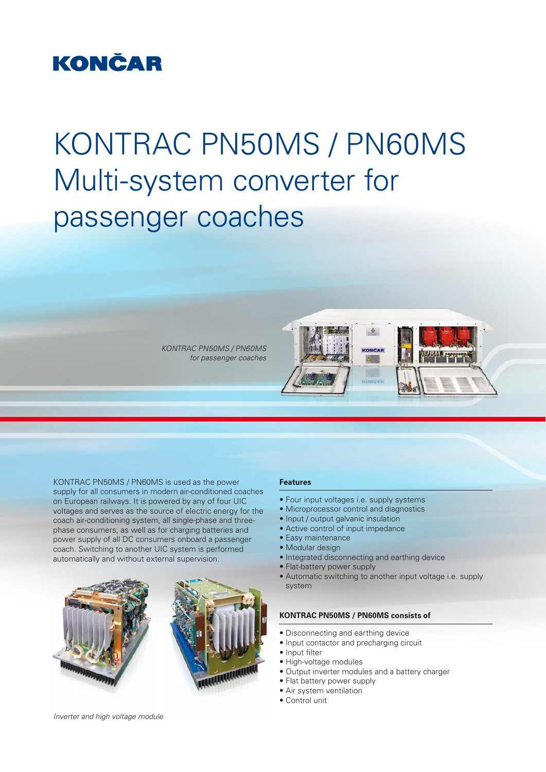### **KONČAR**

# KONTRAC PN50MS / PN60MS Multi-system converter for passenger coaches

*KONTRAC PN50MS / PN60MS for passenger coaches*



KONTRAC PN50MS / PN60MS is used as the power supply for all consumers in modern air-conditioned coaches on European railways. It is powered by any of four UIC voltages and serves as the source of electric energy for the coach air-conditioning system, all single-phase and threephase consumers, as well as for charging batteries and power supply of all DC consumers onboard a passenger coach. Switching to another UIC system is performed automatically and without external supervision.



#### **Features**

- Four input voltages i.e. supply systems
- Microprocessor control and diagnostics
- Input / output galvanic insulation
- Active control of input impedance
- Easy maintenance
- Modular design
- Integrated disconnecting and earthing device
- Flat-battery power supply
- Automatic switching to another input voltage i.e. supply system

#### **KONTRAC PN50MS / PN60MS consists of**

- Disconnecting and earthing device
- Input contactor and precharging circuit
- Input filter
- High-voltage modules
- Output inverter modules and a battery charger
- Flat battery power supply
- Air system ventilation
- Control unit

*Inverter and high voltage module*